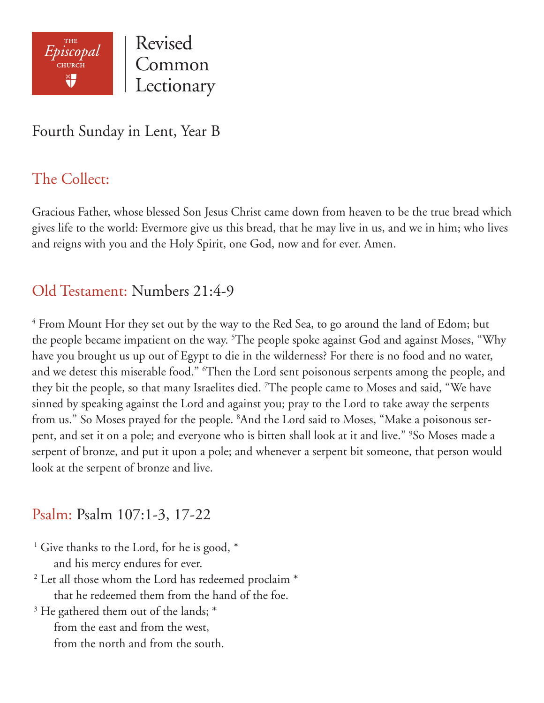

## Fourth Sunday in Lent, Year B

## The Collect:

Gracious Father, whose blessed Son Jesus Christ came down from heaven to be the true bread which gives life to the world: Evermore give us this bread, that he may live in us, and we in him; who lives and reigns with you and the Holy Spirit, one God, now and for ever. Amen.

### Old Testament: Numbers 21:4-9

 $4$  From Mount Hor they set out by the way to the Red Sea, to go around the land of Edom; but the people became impatient on the way. <sup>5</sup>The people spoke against God and against Moses, "Why have you brought us up out of Egypt to die in the wilderness? For there is no food and no water, and we detest this miserable food." 6 Then the Lord sent poisonous serpents among the people, and they bit the people, so that many Israelites died. 7 The people came to Moses and said, "We have sinned by speaking against the Lord and against you; pray to the Lord to take away the serpents from us." So Moses prayed for the people. <sup>8</sup>And the Lord said to Moses, "Make a poisonous serpent, and set it on a pole; and everyone who is bitten shall look at it and live." <sup>9</sup>So Moses made a serpent of bronze, and put it upon a pole; and whenever a serpent bit someone, that person would look at the serpent of bronze and live.

#### Psalm: Psalm 107:1-3, 17-22

- <sup>1</sup> Give thanks to the Lord, for he is good,  $*$ and his mercy endures for ever.
- <sup>2</sup> Let all those whom the Lord has redeemed proclaim \* that he redeemed them from the hand of the foe.
- $3$  He gathered them out of the lands;  $*$ 
	- from the east and from the west, from the north and from the south.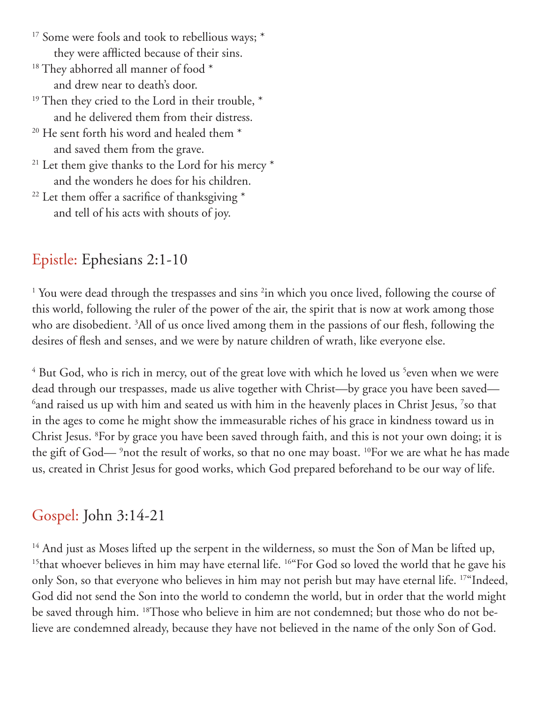- <sup>17</sup> Some were fools and took to rebellious ways; \* they were afflicted because of their sins.
- $18$  They abhorred all manner of food  $*$ and drew near to death's door.
- <sup>19</sup> Then they cried to the Lord in their trouble,  $*$ and he delivered them from their distress.
- $20$  He sent forth his word and healed them  $*$ and saved them from the grave.
- $21$  Let them give thanks to the Lord for his mercy  $*$ and the wonders he does for his children.
- <sup>22</sup> Let them offer a sacrifice of thanksgiving  $*$ and tell of his acts with shouts of joy.

# Epistle: Ephesians 2:1-10

<sup>1</sup> You were dead through the trespasses and sins <sup>2</sup>in which you once lived, following the course of this world, following the ruler of the power of the air, the spirit that is now at work among those who are disobedient. 3 All of us once lived among them in the passions of our flesh, following the desires of flesh and senses, and we were by nature children of wrath, like everyone else.

 $^4$  But God, who is rich in mercy, out of the great love with which he loved us  $^5$ even when we were dead through our trespasses, made us alive together with Christ—by grace you have been saved—  $^6$ and raised us up with him and seated us with him in the heavenly places in Christ Jesus,  $^7$ so that in the ages to come he might show the immeasurable riches of his grace in kindness toward us in Christ Jesus. 8 For by grace you have been saved through faith, and this is not your own doing; it is the gift of God— <sup>9</sup>not the result of works, so that no one may boast. <sup>10</sup>For we are what he has made us, created in Christ Jesus for good works, which God prepared beforehand to be our way of life.

## Gospel: John 3:14-21

<sup>14</sup> And just as Moses lifted up the serpent in the wilderness, so must the Son of Man be lifted up, <sup>15</sup>that whoever believes in him may have eternal life. <sup>16"</sup>For God so loved the world that he gave his only Son, so that everyone who believes in him may not perish but may have eternal life. 17"Indeed, God did not send the Son into the world to condemn the world, but in order that the world might be saved through him. <sup>18</sup>Those who believe in him are not condemned; but those who do not believe are condemned already, because they have not believed in the name of the only Son of God.